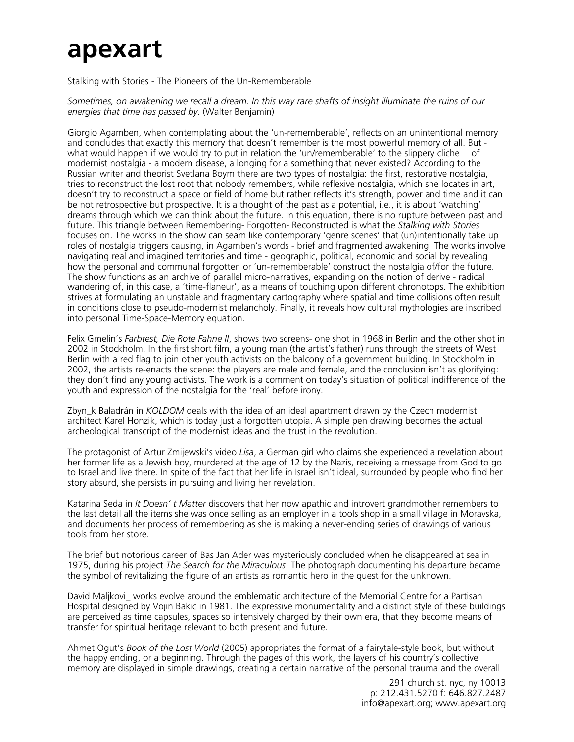## **apexart**

Stalking with Stories - The Pioneers of the Un-Rememberable

*Sometimes, on awakening we recall a dream. In this way rare shafts of insight illuminate the ruins of our energies that time has passed by*. (Walter Benjamin)

Giorgio Agamben, when contemplating about the 'un-rememberable', reflects on an unintentional memory and concludes that exactly this memory that doesn't remember is the most powerful memory of all. But what would happen if we would try to put in relation the 'un/rememberable' to the slippery cliche of modernist nostalgia - a modern disease, a longing for a something that never existed? According to the Russian writer and theorist Svetlana Boym there are two types of nostalgia: the first, restorative nostalgia, tries to reconstruct the lost root that nobody remembers, while reflexive nostalgia, which she locates in art, doesn't try to reconstruct a space or field of home but rather reflects it's strength, power and time and it can be not retrospective but prospective. It is a thought of the past as a potential, i.e., it is about 'watching' dreams through which we can think about the future. In this equation, there is no rupture between past and future. This triangle between Remembering- Forgotten- Reconstructed is what the *Stalking with Stories*  focuses on. The works in the show can seam like contemporary 'genre scenes' that (un)intentionally take up roles of nostalgia triggers causing, in Agamben's words - brief and fragmented awakening. The works involve navigating real and imagined territories and time - geographic, political, economic and social by revealing how the personal and communal forgotten or 'un-rememberable' construct the nostalgia of/for the future. The show functions as an archive of parallel micro-narratives, expanding on the notion of derive - radical wandering of, in this case, a 'time-flaneur', as a means of touching upon different chronotops. The exhibition strives at formulating an unstable and fragmentary cartography where spatial and time collisions often result in conditions close to pseudo-modernist melancholy. Finally, it reveals how cultural mythologies are inscribed into personal Time-Space-Memory equation.

Felix Gmelin's *Farbtest, Die Rote Fahne II*, shows two screens- one shot in 1968 in Berlin and the other shot in 2002 in Stockholm. In the first short film, a young man (the artist's father) runs through the streets of West Berlin with a red flag to join other youth activists on the balcony of a government building. In Stockholm in 2002, the artists re-enacts the scene: the players are male and female, and the conclusion isn't as glorifying: they don't find any young activists. The work is a comment on today's situation of political indifference of the youth and expression of the nostalgia for the 'real' before irony.

Zbyn\_k Baladrán in *KOLDOM* deals with the idea of an ideal apartment drawn by the Czech modernist architect Karel Honzik, which is today just a forgotten utopia. A simple pen drawing becomes the actual archeological transcript of the modernist ideas and the trust in the revolution.

The protagonist of Artur Zmijewski's video *Lisa*, a German girl who claims she experienced a revelation about her former life as a Jewish boy, murdered at the age of 12 by the Nazis, receiving a message from God to go to Israel and live there. In spite of the fact that her life in Israel isn't ideal, surrounded by people who find her story absurd, she persists in pursuing and living her revelation.

Katarina Seda in *It Doesn' t Matter* discovers that her now apathic and introvert grandmother remembers to the last detail all the items she was once selling as an employer in a tools shop in a small village in Moravska, and documents her process of remembering as she is making a never-ending series of drawings of various tools from her store.

The brief but notorious career of Bas Jan Ader was mysteriously concluded when he disappeared at sea in 1975, during his project *The Search for the Miraculous*. The photograph documenting his departure became the symbol of revitalizing the figure of an artists as romantic hero in the quest for the unknown.

David Maljkovi works evolve around the emblematic architecture of the Memorial Centre for a Partisan Hospital designed by Vojin Bakic in 1981. The expressive monumentality and a distinct style of these buildings are perceived as time capsules, spaces so intensively charged by their own era, that they become means of transfer for spiritual heritage relevant to both present and future.

Ahmet Ogut's *Book of the Lost World* (2005) appropriates the format of a fairytale-style book, but without the happy ending, or a beginning. Through the pages of this work, the layers of his country's collective memory are displayed in simple drawings, creating a certain narrative of the personal trauma and the overall

> 291 church st. nyc, ny 10013 p: 212.431.5270 f: 646.827.2487 info@apexart.org; www.apexart.org